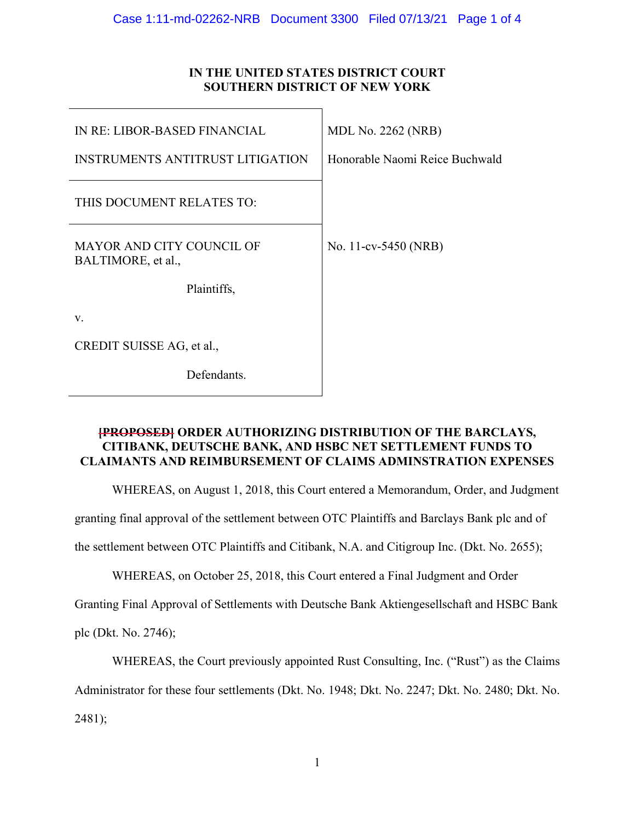# **IN THE UNITED STATES DISTRICT COURT SOUTHERN DISTRICT OF NEW YORK**

| IN RE: LIBOR-BASED FINANCIAL                           | <b>MDL No. 2262 (NRB)</b>      |
|--------------------------------------------------------|--------------------------------|
| <b>INSTRUMENTS ANTITRUST LITIGATION</b>                | Honorable Naomi Reice Buchwald |
| THIS DOCUMENT RELATES TO:                              |                                |
| <b>MAYOR AND CITY COUNCIL OF</b><br>BALTIMORE, et al., | No. 11-cv-5450 (NRB)           |
| Plaintiffs,                                            |                                |
| V.                                                     |                                |
| CREDIT SUISSE AG, et al.,                              |                                |
| Defendants.                                            |                                |

## **[PROPOSED] ORDER AUTHORIZING DISTRIBUTION OF THE BARCLAYS, CITIBANK, DEUTSCHE BANK, AND HSBC NET SETTLEMENT FUNDS TO CLAIMANTS AND REIMBURSEMENT OF CLAIMS ADMINSTRATION EXPENSES**

WHEREAS, on August 1, 2018, this Court entered a Memorandum, Order, and Judgment

granting final approval of the settlement between OTC Plaintiffs and Barclays Bank plc and of

the settlement between OTC Plaintiffs and Citibank, N.A. and Citigroup Inc. (Dkt. No. 2655);

WHEREAS, on October 25, 2018, this Court entered a Final Judgment and Order

Granting Final Approval of Settlements with Deutsche Bank Aktiengesellschaft and HSBC Bank

plc (Dkt. No. 2746);

WHEREAS, the Court previously appointed Rust Consulting, Inc. ("Rust") as the Claims

Administrator for these four settlements (Dkt. No. 1948; Dkt. No. 2247; Dkt. No. 2480; Dkt. No.

2481);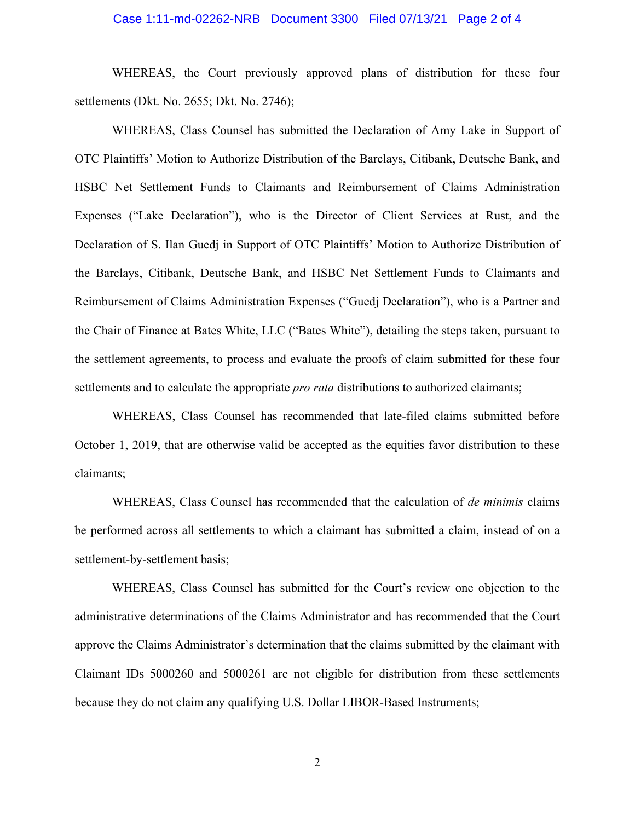### Case 1:11-md-02262-NRB Document 3300 Filed 07/13/21 Page 2 of 4

WHEREAS, the Court previously approved plans of distribution for these four settlements (Dkt. No. 2655; Dkt. No. 2746);

WHEREAS, Class Counsel has submitted the Declaration of Amy Lake in Support of OTC Plaintiffs' Motion to Authorize Distribution of the Barclays, Citibank, Deutsche Bank, and HSBC Net Settlement Funds to Claimants and Reimbursement of Claims Administration Expenses ("Lake Declaration"), who is the Director of Client Services at Rust, and the Declaration of S. Ilan Guedj in Support of OTC Plaintiffs' Motion to Authorize Distribution of the Barclays, Citibank, Deutsche Bank, and HSBC Net Settlement Funds to Claimants and Reimbursement of Claims Administration Expenses ("Guedj Declaration"), who is a Partner and the Chair of Finance at Bates White, LLC ("Bates White"), detailing the steps taken, pursuant to the settlement agreements, to process and evaluate the proofs of claim submitted for these four settlements and to calculate the appropriate *pro rata* distributions to authorized claimants;

WHEREAS, Class Counsel has recommended that late-filed claims submitted before October 1, 2019, that are otherwise valid be accepted as the equities favor distribution to these claimants;

WHEREAS, Class Counsel has recommended that the calculation of *de minimis* claims be performed across all settlements to which a claimant has submitted a claim, instead of on a settlement-by-settlement basis;

WHEREAS, Class Counsel has submitted for the Court's review one objection to the administrative determinations of the Claims Administrator and has recommended that the Court approve the Claims Administrator's determination that the claims submitted by the claimant with Claimant IDs 5000260 and 5000261 are not eligible for distribution from these settlements because they do not claim any qualifying U.S. Dollar LIBOR-Based Instruments;

2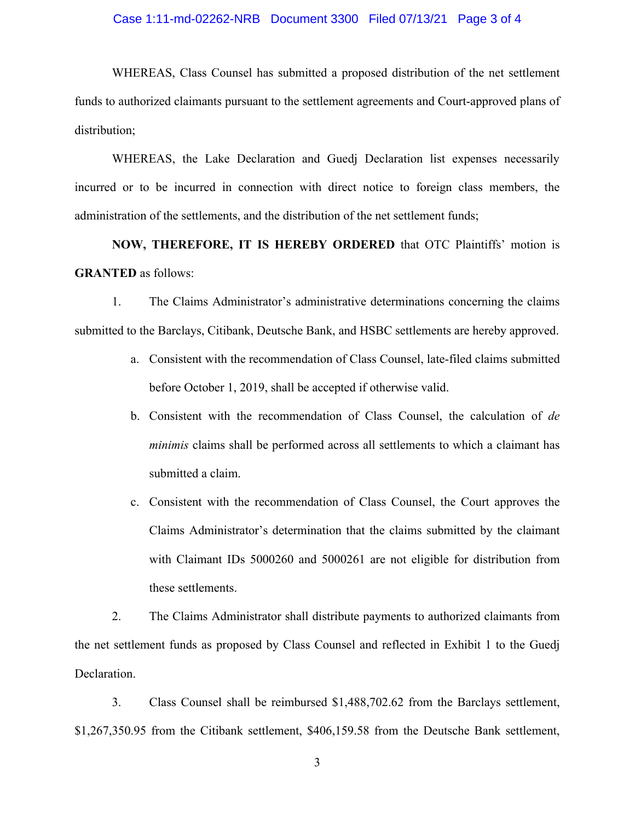### Case 1:11-md-02262-NRB Document 3300 Filed 07/13/21 Page 3 of 4

WHEREAS, Class Counsel has submitted a proposed distribution of the net settlement funds to authorized claimants pursuant to the settlement agreements and Court-approved plans of distribution;

WHEREAS, the Lake Declaration and Guedj Declaration list expenses necessarily incurred or to be incurred in connection with direct notice to foreign class members, the administration of the settlements, and the distribution of the net settlement funds;

**NOW, THEREFORE, IT IS HEREBY ORDERED** that OTC Plaintiffs' motion is **GRANTED** as follows:

1. The Claims Administrator's administrative determinations concerning the claims submitted to the Barclays, Citibank, Deutsche Bank, and HSBC settlements are hereby approved.

- a. Consistent with the recommendation of Class Counsel, late-filed claims submitted before October 1, 2019, shall be accepted if otherwise valid.
- b. Consistent with the recommendation of Class Counsel, the calculation of *de minimis* claims shall be performed across all settlements to which a claimant has submitted a claim.
- c. Consistent with the recommendation of Class Counsel, the Court approves the Claims Administrator's determination that the claims submitted by the claimant with Claimant IDs 5000260 and 5000261 are not eligible for distribution from these settlements.

2. The Claims Administrator shall distribute payments to authorized claimants from the net settlement funds as proposed by Class Counsel and reflected in Exhibit 1 to the Guedj Declaration.

3. Class Counsel shall be reimbursed \$1,488,702.62 from the Barclays settlement, \$1,267,350.95 from the Citibank settlement, \$406,159.58 from the Deutsche Bank settlement,

3